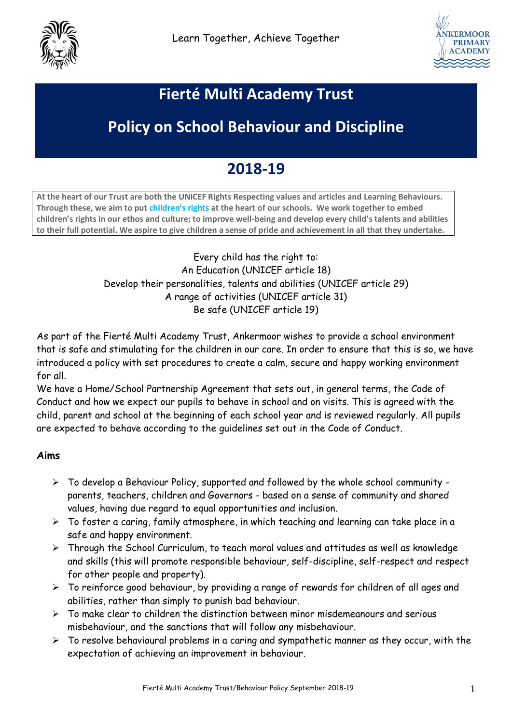



## **Fierté Multi Academy Trust**

# **Policy on School Behaviour and Discipline**

## **2018-19**

**At the heart of our Trust are both the UNICEF Rights Respecting values and articles and Learning Behaviours. Through these, we aim to put [children's rights](http://www.unicef.org.uk/rights-respecting-schools/about-the-award/child-rights-in-schools/) at the heart of our schools. We work together to embed children's rights in our ethos and culture; to improve well-being and develop every child's talents and abilities to their full potential. We aspire to give children a sense of pride and achievement in all that they undertake.**

> Every child has the right to: An Education (UNICEF article 18) Develop their personalities, talents and abilities (UNICEF article 29) A range of activities (UNICEF article 31) Be safe (UNICEF article 19)

As part of the Fierté Multi Academy Trust, Ankermoor wishes to provide a school environment that is safe and stimulating for the children in our care. In order to ensure that this is so, we have introduced a policy with set procedures to create a calm, secure and happy working environment for all.

We have a Home/School Partnership Agreement that sets out, in general terms, the Code of Conduct and how we expect our pupils to behave in school and on visits. This is agreed with the child, parent and school at the beginning of each school year and is reviewed regularly. All pupils are expected to behave according to the guidelines set out in the Code of Conduct.

#### **Aims**

- $\triangleright$  To develop a Behaviour Policy, supported and followed by the whole school community parents, teachers, children and Governors - based on a sense of community and shared values, having due regard to equal opportunities and inclusion.
- $\triangleright$  To foster a caring, family atmosphere, in which teaching and learning can take place in a safe and happy environment.
- Through the School Curriculum, to teach moral values and attitudes as well as knowledge and skills (this will promote responsible behaviour, self-discipline, self-respect and respect for other people and property).
- $\triangleright$  To reinforce good behaviour, by providing a range of rewards for children of all ages and abilities, rather than simply to punish bad behaviour.
- $\triangleright$  To make clear to children the distinction between minor misdemeanours and serious misbehaviour, and the sanctions that will follow any misbehaviour.
- $\triangleright$  To resolve behavioural problems in a caring and sympathetic manner as they occur, with the expectation of achieving an improvement in behaviour.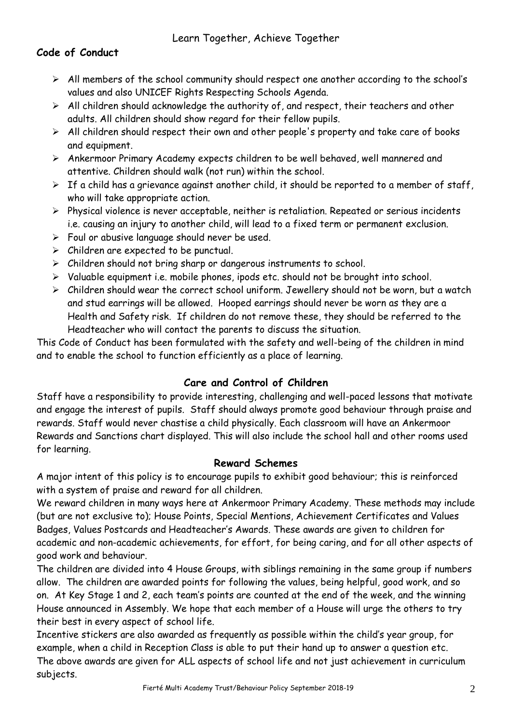## **Code of Conduct**

- $\triangleright$  All members of the school community should respect one another according to the school's values and also UNICEF Rights Respecting Schools Agenda.
- $\triangleright$  All children should acknowledge the authority of, and respect, their teachers and other adults. All children should show regard for their fellow pupils.
- $\triangleright$  All children should respect their own and other people's property and take care of books and equipment.
- Ankermoor Primary Academy expects children to be well behaved, well mannered and attentive. Children should walk (not run) within the school.
- $\triangleright$  If a child has a grievance against another child, it should be reported to a member of staff, who will take appropriate action.
- $\triangleright$  Physical violence is never acceptable, neither is retaliation. Repeated or serious incidents i.e. causing an injury to another child, will lead to a fixed term or permanent exclusion.
- $\triangleright$  Foul or abusive language should never be used.
- $\triangleright$  Children are expected to be punctual.
- $\triangleright$  Children should not bring sharp or dangerous instruments to school.
- $\triangleright$  Valuable equipment i.e. mobile phones, ipods etc. should not be brought into school.
- $\triangleright$  Children should wear the correct school uniform. Jewellery should not be worn, but a watch and stud earrings will be allowed. Hooped earrings should never be worn as they are a Health and Safety risk. If children do not remove these, they should be referred to the Headteacher who will contact the parents to discuss the situation.

This Code of Conduct has been formulated with the safety and well-being of the children in mind and to enable the school to function efficiently as a place of learning.

## **Care and Control of Children**

Staff have a responsibility to provide interesting, challenging and well-paced lessons that motivate and engage the interest of pupils. Staff should always promote good behaviour through praise and rewards. Staff would never chastise a child physically. Each classroom will have an Ankermoor Rewards and Sanctions chart displayed. This will also include the school hall and other rooms used for learning.

### **Reward Schemes**

A major intent of this policy is to encourage pupils to exhibit good behaviour; this is reinforced with a system of praise and reward for all children.

We reward children in many ways here at Ankermoor Primary Academy. These methods may include (but are not exclusive to); House Points, Special Mentions, Achievement Certificates and Values Badges, Values Postcards and Headteacher's Awards. These awards are given to children for academic and non-academic achievements, for effort, for being caring, and for all other aspects of good work and behaviour.

The children are divided into 4 House Groups, with siblings remaining in the same group if numbers allow. The children are awarded points for following the values, being helpful, good work, and so on. At Key Stage 1 and 2, each team's points are counted at the end of the week, and the winning House announced in Assembly. We hope that each member of a House will urge the others to try their best in every aspect of school life.

Incentive stickers are also awarded as frequently as possible within the child's year group, for example, when a child in Reception Class is able to put their hand up to answer a question etc. The above awards are given for ALL aspects of school life and not just achievement in curriculum subjects.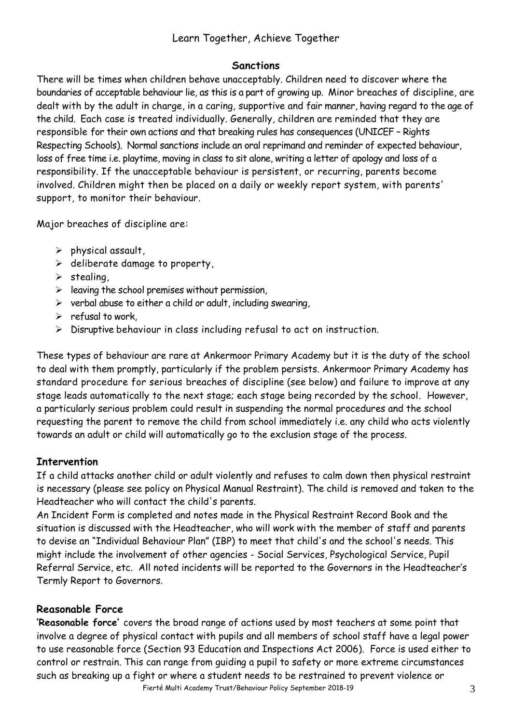#### **Sanctions**

There will be times when children behave unacceptably. Children need to discover where the boundaries of acceptable behaviour lie, as this is a part of growing up. Minor breaches of discipline, are dealt with by the adult in charge, in a caring, supportive and fair manner, having regard to the age of the child. Each case is treated individually. Generally, children are reminded that they are responsible for their own actions and that breaking rules has consequences (UNICEF – Rights Respecting Schools). Normal sanctions include an oral reprimand and reminder of expected behaviour, loss of free time i.e. playtime, moving in class to sit alone, writing a letter of apology and loss of a responsibility. If the unacceptable behaviour is persistent, or recurring, parents become involved. Children might then be placed on a daily or weekly report system, with parents' support, to monitor their behaviour.

Major breaches of discipline are:

- $\triangleright$  physical assault.
- $\triangleright$  deliberate damage to property,
- $\triangleright$  stealing,
- $\triangleright$  leaving the school premises without permission,
- $\triangleright$  verbal abuse to either a child or adult, including swearing,
- $\triangleright$  refusal to work
- $\triangleright$  Disruptive behaviour in class including refusal to act on instruction.

These types of behaviour are rare at Ankermoor Primary Academy but it is the duty of the school to deal with them promptly, particularly if the problem persists. Ankermoor Primary Academy has standard procedure for serious breaches of discipline (see below) and failure to improve at any stage leads automatically to the next stage; each stage being recorded by the school. However, a particularly serious problem could result in suspending the normal procedures and the school requesting the parent to remove the child from school immediately i.e. any child who acts violently towards an adult or child will automatically go to the exclusion stage of the process.

#### **Intervention**

If a child attacks another child or adult violently and refuses to calm down then physical restraint is necessary (please see policy on Physical Manual Restraint). The child is removed and taken to the Headteacher who will contact the child's parents.

An Incident Form is completed and notes made in the Physical Restraint Record Book and the situation is discussed with the Headteacher, who will work with the member of staff and parents to devise an "Individual Behaviour Plan" (IBP) to meet that child's and the school's needs. This might include the involvement of other agencies - Social Services, Psychological Service, Pupil Referral Service, etc. All noted incidents will be reported to the Governors in the Headteacher's Termly Report to Governors.

#### **Reasonable Force**

**'Reasonable force'** covers the broad range of actions used by most teachers at some point that involve a degree of physical contact with pupils and all members of school staff have a legal power to use reasonable force (Section 93 Education and Inspections Act 2006). Force is used either to control or restrain. This can range from guiding a pupil to safety or more extreme circumstances such as breaking up a fight or where a student needs to be restrained to prevent violence or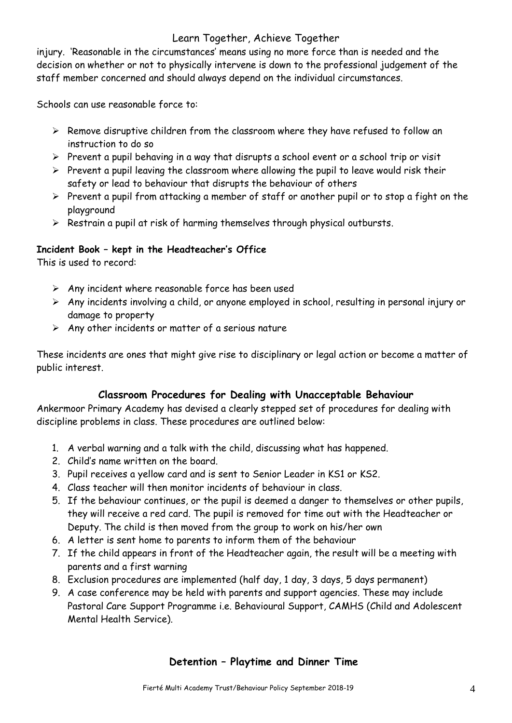injury. 'Reasonable in the circumstances' means using no more force than is needed and the decision on whether or not to physically intervene is down to the professional judgement of the staff member concerned and should always depend on the individual circumstances.

Schools can use reasonable force to:

- $\triangleright$  Remove disruptive children from the classroom where they have refused to follow an instruction to do so
- $\triangleright$  Prevent a pupil behaving in a way that disrupts a school event or a school trip or visit
- $\triangleright$  Prevent a pupil leaving the classroom where allowing the pupil to leave would risk their safety or lead to behaviour that disrupts the behaviour of others
- $\triangleright$  Prevent a pupil from attacking a member of staff or another pupil or to stop a fight on the playground
- $\triangleright$  Restrain a pupil at risk of harming themselves through physical outbursts.

### **Incident Book – kept in the Headteacher's Office**

This is used to record:

- $\triangleright$  Any incident where reasonable force has been used
- $\triangleright$  Any incidents involving a child, or anyone employed in school, resulting in personal injury or damage to property
- $\triangleright$  Any other incidents or matter of a serious nature

These incidents are ones that might give rise to disciplinary or legal action or become a matter of public interest.

### **Classroom Procedures for Dealing with Unacceptable Behaviour**

Ankermoor Primary Academy has devised a clearly stepped set of procedures for dealing with discipline problems in class. These procedures are outlined below:

- 1. A verbal warning and a talk with the child, discussing what has happened.
- 2. Child's name written on the board.
- 3. Pupil receives a yellow card and is sent to Senior Leader in KS1 or KS2.
- 4. Class teacher will then monitor incidents of behaviour in class.
- 5. If the behaviour continues, or the pupil is deemed a danger to themselves or other pupils, they will receive a red card. The pupil is removed for time out with the Headteacher or Deputy. The child is then moved from the group to work on his/her own
- 6. A letter is sent home to parents to inform them of the behaviour
- 7. If the child appears in front of the Headteacher again, the result will be a meeting with parents and a first warning
- 8. Exclusion procedures are implemented (half day, 1 day, 3 days, 5 days permanent)
- 9. A case conference may be held with parents and support agencies. These may include Pastoral Care Support Programme i.e. Behavioural Support, CAMHS (Child and Adolescent Mental Health Service).

### **Detention – Playtime and Dinner Time**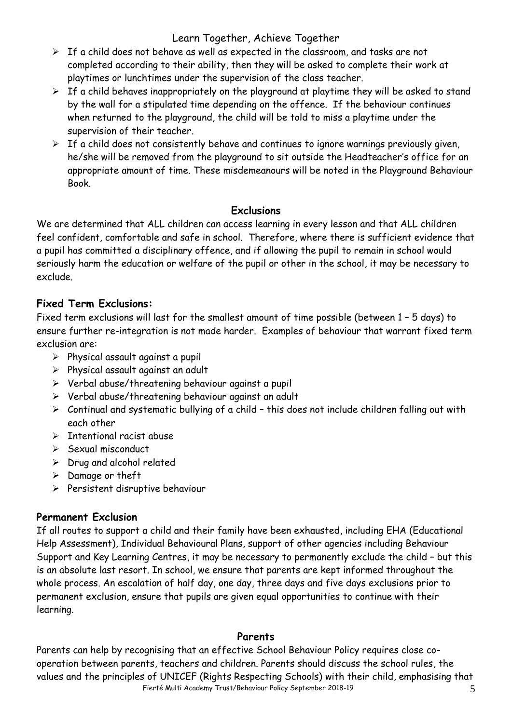- $\triangleright$  If a child does not behave as well as expected in the classroom, and tasks are not completed according to their ability, then they will be asked to complete their work at playtimes or lunchtimes under the supervision of the class teacher.
- $\triangleright$  If a child behaves inappropriately on the playground at playtime they will be asked to stand by the wall for a stipulated time depending on the offence. If the behaviour continues when returned to the playground, the child will be told to miss a playtime under the supervision of their teacher.
- $\triangleright$  If a child does not consistently behave and continues to ignore warnings previously given, he/she will be removed from the playground to sit outside the Headteacher's office for an appropriate amount of time. These misdemeanours will be noted in the Playground Behaviour Book.

### **Exclusions**

We are determined that ALL children can access learning in every lesson and that ALL children feel confident, comfortable and safe in school. Therefore, where there is sufficient evidence that a pupil has committed a disciplinary offence, and if allowing the pupil to remain in school would seriously harm the education or welfare of the pupil or other in the school, it may be necessary to exclude.

### **Fixed Term Exclusions:**

Fixed term exclusions will last for the smallest amount of time possible (between 1 – 5 days) to ensure further re-integration is not made harder. Examples of behaviour that warrant fixed term exclusion are:

- $\triangleright$  Physical assault against a pupil
- $\triangleright$  Physical assault against an adult
- $\triangleright$  Verbal abuse/threatening behaviour against a pupil
- $\triangleright$  Verbal abuse/threatening behaviour against an adult
- $\triangleright$  Continual and systematic bullying of a child this does not include children falling out with each other
- $\triangleright$  Intentional racist abuse
- $\geq$  Sexual misconduct
- $\triangleright$  Drug and alcohol related
- $\triangleright$  Damage or theft
- $\triangleright$  Persistent disruptive behaviour

### **Permanent Exclusion**

If all routes to support a child and their family have been exhausted, including EHA (Educational Help Assessment), Individual Behavioural Plans, support of other agencies including Behaviour Support and Key Learning Centres, it may be necessary to permanently exclude the child – but this is an absolute last resort. In school, we ensure that parents are kept informed throughout the whole process. An escalation of half day, one day, three days and five days exclusions prior to permanent exclusion, ensure that pupils are given equal opportunities to continue with their learning.

### **Parents**

Fierté Multi Academy Trust/Behaviour Policy September 2018-19 5 Parents can help by recognising that an effective School Behaviour Policy requires close cooperation between parents, teachers and children. Parents should discuss the school rules, the values and the principles of UNICEF (Rights Respecting Schools) with their child, emphasising that